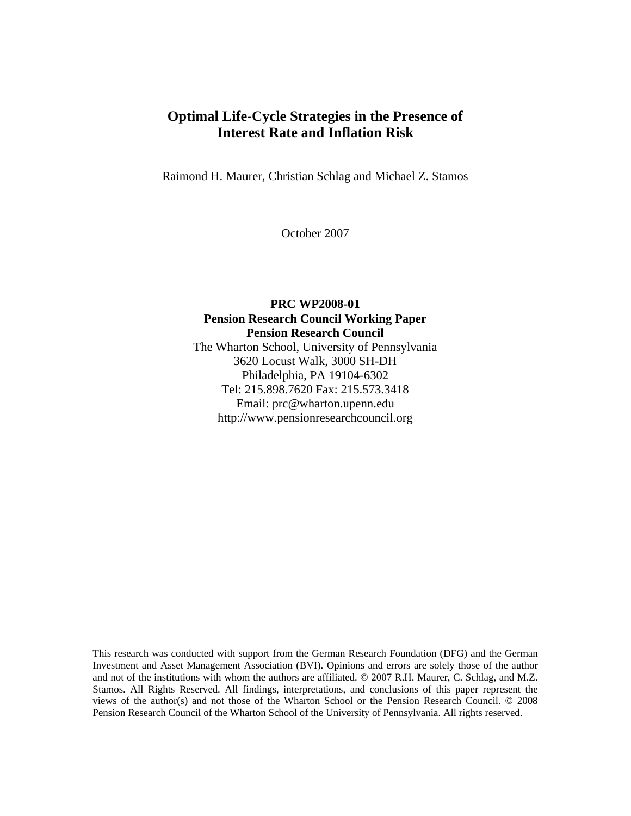# **Optimal Life-Cycle Strategies in the Presence of Interest Rate and Inflation Risk**

Raimond H. Maurer, Christian Schlag and Michael Z. Stamos

October 2007

### **PRC WP2008-01 Pension Research Council Working Paper Pension Research Council**  The Wharton School, University of Pennsylvania 3620 Locust Walk, 3000 SH-DH Philadelphia, PA 19104-6302 Tel: 215.898.7620 Fax: 215.573.3418 Email: prc@wharton.upenn.edu http://www.pensionresearchcouncil.org

This research was conducted with support from the German Research Foundation (DFG) and the German Investment and Asset Management Association (BVI). Opinions and errors are solely those of the author and not of the institutions with whom the authors are affiliated. © 2007 R.H. Maurer, C. Schlag, and M.Z. Stamos. All Rights Reserved. All findings, interpretations, and conclusions of this paper represent the views of the author(s) and not those of the Wharton School or the Pension Research Council. © 2008 Pension Research Council of the Wharton School of the University of Pennsylvania. All rights reserved.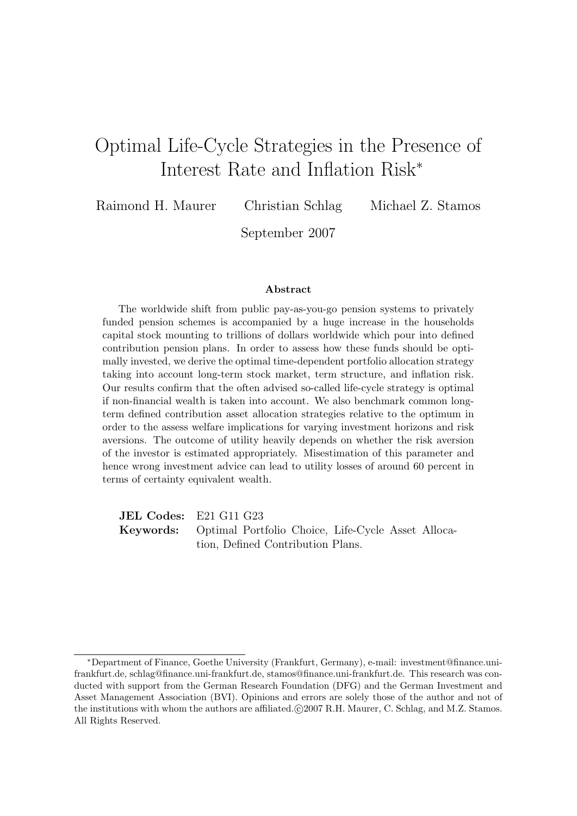# Optimal Life-Cycle Strategies in the Presence of Interest Rate and Inflation Risk<sup>∗</sup>

Raimond H. Maurer Christian Schlag Michael Z. Stamos

September 2007

#### **Abstract**

The worldwide shift from public pay-as-you-go pension systems to privately funded pension schemes is accompanied by a huge increase in the households capital stock mounting to trillions of dollars worldwide which pour into defined contribution pension plans. In order to assess how these funds should be optimally invested, we derive the optimal time-dependent portfolio allocation strategy taking into account long-term stock market, term structure, and inflation risk. Our results confirm that the often advised so-called life-cycle strategy is optimal if non-financial wealth is taken into account. We also benchmark common longterm defined contribution asset allocation strategies relative to the optimum in order to the assess welfare implications for varying investment horizons and risk aversions. The outcome of utility heavily depends on whether the risk aversion of the investor is estimated appropriately. Misestimation of this parameter and hence wrong investment advice can lead to utility losses of around 60 percent in terms of certainty equivalent wealth.

**JEL Codes:** E21 G11 G23 **Keywords:** Optimal Portfolio Choice, Life-Cycle Asset Allocation, Defined Contribution Plans.

<sup>∗</sup>Department of Finance, Goethe University (Frankfurt, Germany), e-mail: investment@finance.unifrankfurt.de, schlag@finance.uni-frankfurt.de, stamos@finance.uni-frankfurt.de. This research was conducted with support from the German Research Foundation (DFG) and the German Investment and Asset Management Association (BVI). Opinions and errors are solely those of the author and not of the institutions with whom the authors are affiliated. $\odot$ 2007 R.H. Maurer, C. Schlag, and M.Z. Stamos. All Rights Reserved.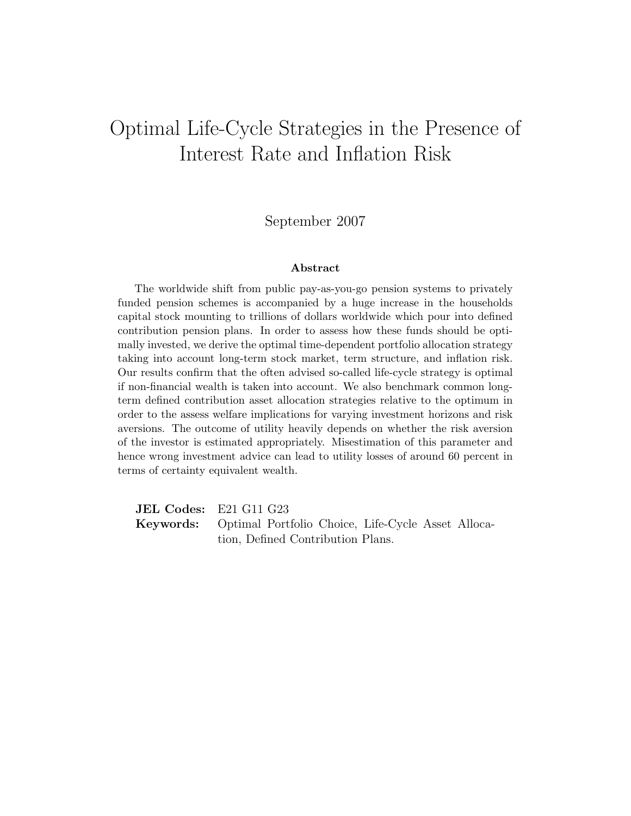# Optimal Life-Cycle Strategies in the Presence of Interest Rate and Inflation Risk

### September 2007

#### Abstract

The worldwide shift from public pay-as-you-go pension systems to privately funded pension schemes is accompanied by a huge increase in the households capital stock mounting to trillions of dollars worldwide which pour into defined contribution pension plans. In order to assess how these funds should be optimally invested, we derive the optimal time-dependent portfolio allocation strategy taking into account long-term stock market, term structure, and inflation risk. Our results confirm that the often advised so-called life-cycle strategy is optimal if non-financial wealth is taken into account. We also benchmark common longterm defined contribution asset allocation strategies relative to the optimum in order to the assess welfare implications for varying investment horizons and risk aversions. The outcome of utility heavily depends on whether the risk aversion of the investor is estimated appropriately. Misestimation of this parameter and hence wrong investment advice can lead to utility losses of around 60 percent in terms of certainty equivalent wealth.

JEL Codes: E21 G11 G23 Keywords: Optimal Portfolio Choice, Life-Cycle Asset Allocation, Defined Contribution Plans.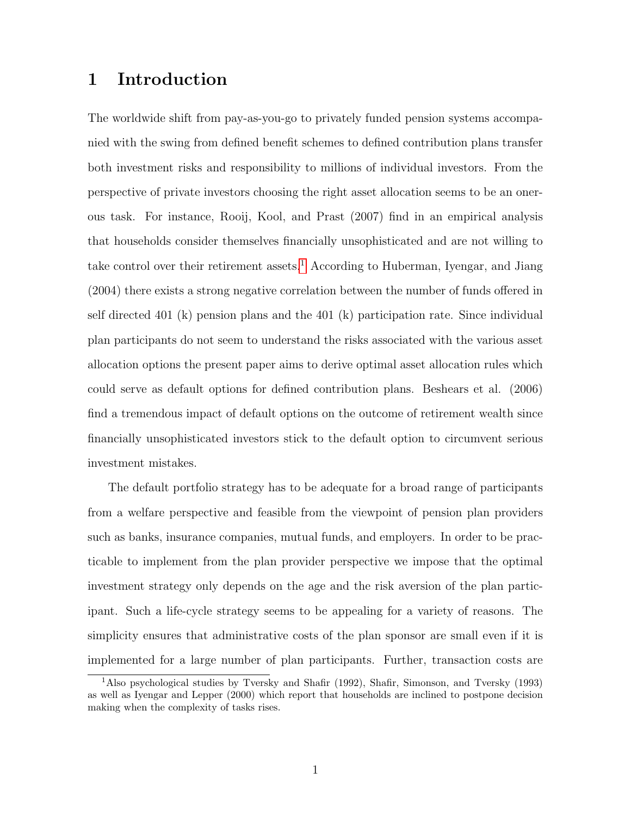# 1 Introduction

The worldwide shift from pay-as-you-go to privately funded pension systems accompanied with the swing from defined benefit schemes to defined contribution plans transfer both investment risks and responsibility to millions of individual investors. From the perspective of private investors choosing the right asset allocation seems to be an onerous task. For instance, Rooij, Kool, and Prast (2007) find in an empirical analysis that households consider themselves financially unsophisticated and are not willing to take control over their retirement assets.<sup>[1](#page-3-0)</sup> According to Huberman, Iyengar, and Jiang (2004) there exists a strong negative correlation between the number of funds offered in self directed 401 (k) pension plans and the 401 (k) participation rate. Since individual plan participants do not seem to understand the risks associated with the various asset allocation options the present paper aims to derive optimal asset allocation rules which could serve as default options for defined contribution plans. Beshears et al. (2006) find a tremendous impact of default options on the outcome of retirement wealth since financially unsophisticated investors stick to the default option to circumvent serious investment mistakes.

The default portfolio strategy has to be adequate for a broad range of participants from a welfare perspective and feasible from the viewpoint of pension plan providers such as banks, insurance companies, mutual funds, and employers. In order to be practicable to implement from the plan provider perspective we impose that the optimal investment strategy only depends on the age and the risk aversion of the plan participant. Such a life-cycle strategy seems to be appealing for a variety of reasons. The simplicity ensures that administrative costs of the plan sponsor are small even if it is implemented for a large number of plan participants. Further, transaction costs are

<span id="page-3-0"></span><sup>1</sup>Also psychological studies by Tversky and Shafir (1992), Shafir, Simonson, and Tversky (1993) as well as Iyengar and Lepper (2000) which report that households are inclined to postpone decision making when the complexity of tasks rises.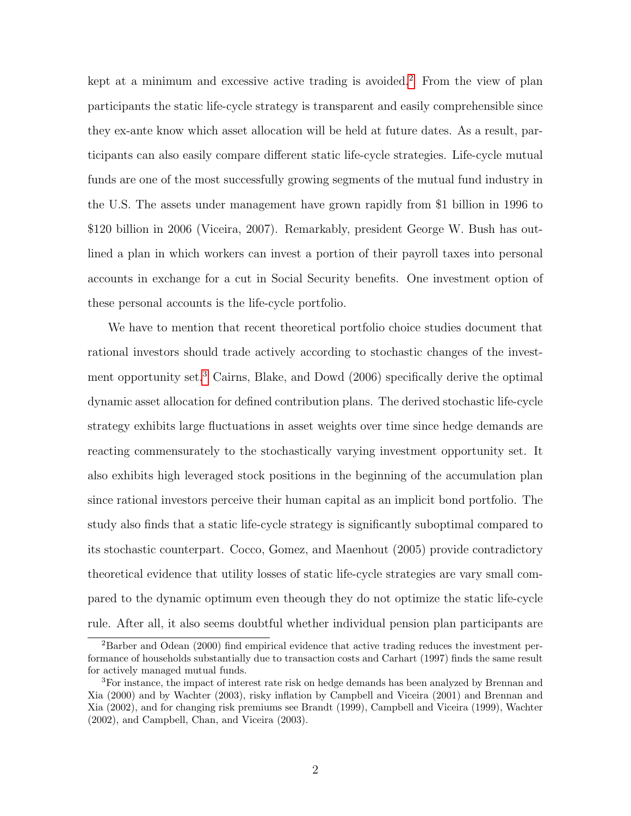kept at a minimum and excessive active trading is avoided.<sup>[2](#page-4-0)</sup> From the view of plan participants the static life-cycle strategy is transparent and easily comprehensible since they ex-ante know which asset allocation will be held at future dates. As a result, participants can also easily compare different static life-cycle strategies. Life-cycle mutual funds are one of the most successfully growing segments of the mutual fund industry in the U.S. The assets under management have grown rapidly from \$1 billion in 1996 to \$120 billion in 2006 (Viceira, 2007). Remarkably, president George W. Bush has outlined a plan in which workers can invest a portion of their payroll taxes into personal accounts in exchange for a cut in Social Security benefits. One investment option of these personal accounts is the life-cycle portfolio.

We have to mention that recent theoretical portfolio choice studies document that rational investors should trade actively according to stochastic changes of the invest-ment opportunity set.<sup>[3](#page-4-1)</sup> Cairns, Blake, and Dowd (2006) specifically derive the optimal dynamic asset allocation for defined contribution plans. The derived stochastic life-cycle strategy exhibits large fluctuations in asset weights over time since hedge demands are reacting commensurately to the stochastically varying investment opportunity set. It also exhibits high leveraged stock positions in the beginning of the accumulation plan since rational investors perceive their human capital as an implicit bond portfolio. The study also finds that a static life-cycle strategy is significantly suboptimal compared to its stochastic counterpart. Cocco, Gomez, and Maenhout (2005) provide contradictory theoretical evidence that utility losses of static life-cycle strategies are vary small compared to the dynamic optimum even theough they do not optimize the static life-cycle rule. After all, it also seems doubtful whether individual pension plan participants are

<span id="page-4-0"></span><sup>2</sup>Barber and Odean (2000) find empirical evidence that active trading reduces the investment performance of households substantially due to transaction costs and Carhart (1997) finds the same result for actively managed mutual funds.

<span id="page-4-1"></span><sup>3</sup>For instance, the impact of interest rate risk on hedge demands has been analyzed by Brennan and Xia (2000) and by Wachter (2003), risky inflation by Campbell and Viceira (2001) and Brennan and Xia (2002), and for changing risk premiums see Brandt (1999), Campbell and Viceira (1999), Wachter (2002), and Campbell, Chan, and Viceira (2003).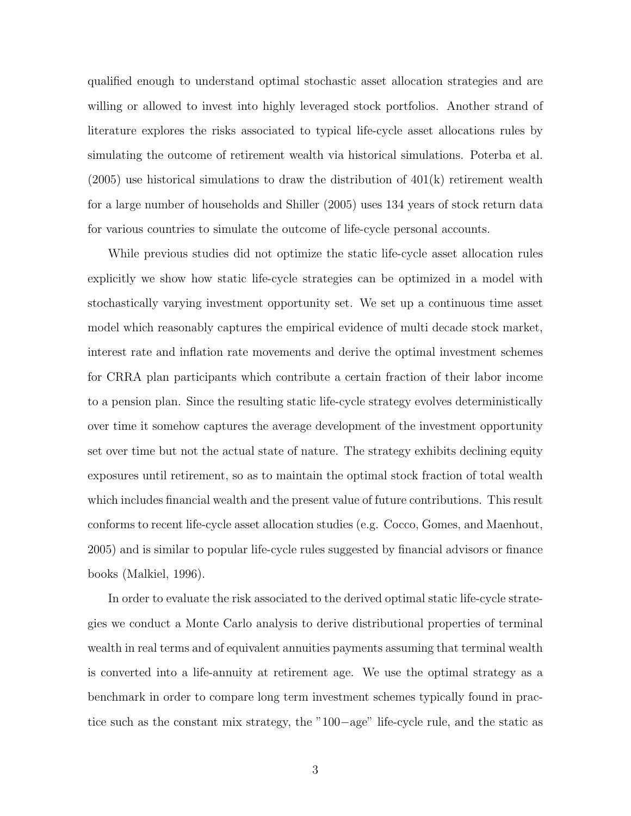qualified enough to understand optimal stochastic asset allocation strategies and are willing or allowed to invest into highly leveraged stock portfolios. Another strand of literature explores the risks associated to typical life-cycle asset allocations rules by simulating the outcome of retirement wealth via historical simulations. Poterba et al.  $(2005)$  use historical simulations to draw the distribution of  $401(k)$  retirement wealth for a large number of households and Shiller (2005) uses 134 years of stock return data for various countries to simulate the outcome of life-cycle personal accounts.

While previous studies did not optimize the static life-cycle asset allocation rules explicitly we show how static life-cycle strategies can be optimized in a model with stochastically varying investment opportunity set. We set up a continuous time asset model which reasonably captures the empirical evidence of multi decade stock market, interest rate and inflation rate movements and derive the optimal investment schemes for CRRA plan participants which contribute a certain fraction of their labor income to a pension plan. Since the resulting static life-cycle strategy evolves deterministically over time it somehow captures the average development of the investment opportunity set over time but not the actual state of nature. The strategy exhibits declining equity exposures until retirement, so as to maintain the optimal stock fraction of total wealth which includes financial wealth and the present value of future contributions. This result conforms to recent life-cycle asset allocation studies (e.g. Cocco, Gomes, and Maenhout, 2005) and is similar to popular life-cycle rules suggested by financial advisors or finance books (Malkiel, 1996).

In order to evaluate the risk associated to the derived optimal static life-cycle strategies we conduct a Monte Carlo analysis to derive distributional properties of terminal wealth in real terms and of equivalent annuities payments assuming that terminal wealth is converted into a life-annuity at retirement age. We use the optimal strategy as a benchmark in order to compare long term investment schemes typically found in practice such as the constant mix strategy, the "100−age" life-cycle rule, and the static as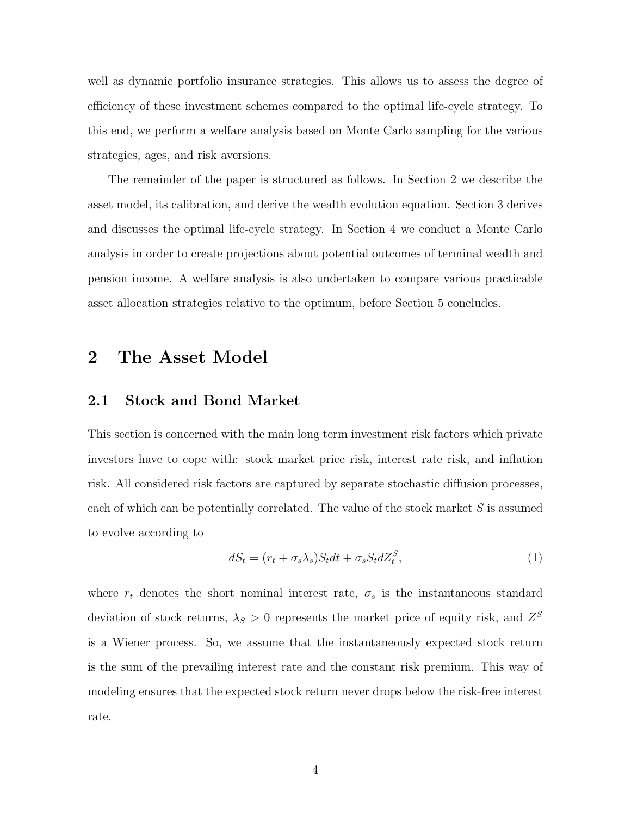well as dynamic portfolio insurance strategies. This allows us to assess the degree of efficiency of these investment schemes compared to the optimal life-cycle strategy. To this end, we perform a welfare analysis based on Monte Carlo sampling for the various strategies, ages, and risk aversions.

The remainder of the paper is structured as follows. In Section 2 we describe the asset model, its calibration, and derive the wealth evolution equation. Section 3 derives and discusses the optimal life-cycle strategy. In Section 4 we conduct a Monte Carlo analysis in order to create projections about potential outcomes of terminal wealth and pension income. A welfare analysis is also undertaken to compare various practicable asset allocation strategies relative to the optimum, before Section 5 concludes.

# 2 The Asset Model

#### 2.1 Stock and Bond Market

This section is concerned with the main long term investment risk factors which private investors have to cope with: stock market price risk, interest rate risk, and inflation risk. All considered risk factors are captured by separate stochastic diffusion processes, each of which can be potentially correlated. The value of the stock market  $S$  is assumed to evolve according to

$$
dS_t = (r_t + \sigma_s \lambda_s) S_t dt + \sigma_s S_t dZ_t^S,
$$
\n<sup>(1)</sup>

where  $r_t$  denotes the short nominal interest rate,  $\sigma_s$  is the instantaneous standard deviation of stock returns,  $\lambda_S > 0$  represents the market price of equity risk, and  $Z^S$ is a Wiener process. So, we assume that the instantaneously expected stock return is the sum of the prevailing interest rate and the constant risk premium. This way of modeling ensures that the expected stock return never drops below the risk-free interest rate.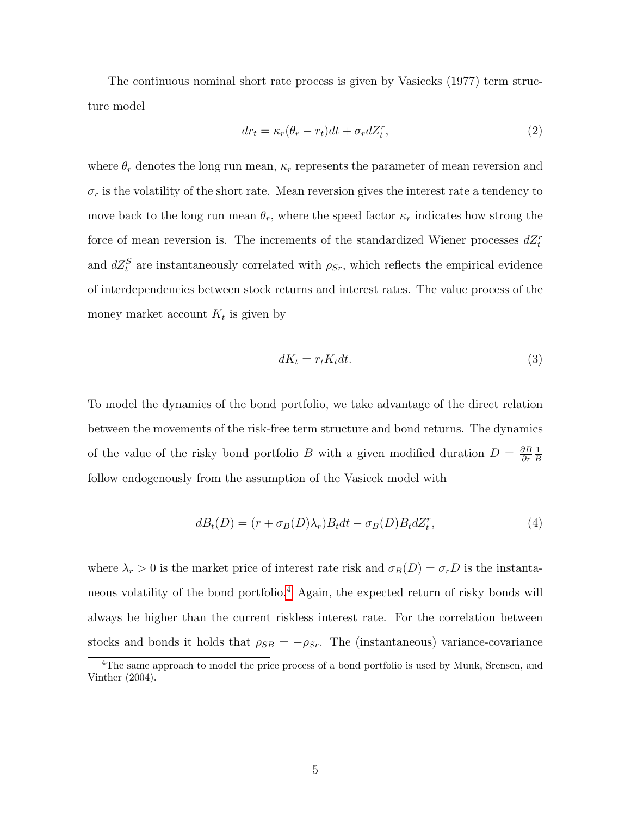The continuous nominal short rate process is given by Vasiceks (1977) term structure model

$$
dr_t = \kappa_r(\theta_r - r_t)dt + \sigma_r dZ_t^r, \qquad (2)
$$

where  $\theta_r$  denotes the long run mean,  $\kappa_r$  represents the parameter of mean reversion and  $\sigma_r$  is the volatility of the short rate. Mean reversion gives the interest rate a tendency to move back to the long run mean  $\theta_r$ , where the speed factor  $\kappa_r$  indicates how strong the force of mean reversion is. The increments of the standardized Wiener processes  $dZ_t^r$ and  $dZ_t^S$  are instantaneously correlated with  $\rho_{Sr}$ , which reflects the empirical evidence of interdependencies between stock returns and interest rates. The value process of the money market account  $K_t$  is given by

$$
dK_t = r_t K_t dt. \tag{3}
$$

To model the dynamics of the bond portfolio, we take advantage of the direct relation between the movements of the risk-free term structure and bond returns. The dynamics of the value of the risky bond portfolio B with a given modified duration  $D = \frac{\partial B}{\partial r}$ ∂r 1 B follow endogenously from the assumption of the Vasicek model with

$$
dB_t(D) = (r + \sigma_B(D)\lambda_r)B_t dt - \sigma_B(D)B_t dZ_t^r, \qquad (4)
$$

where  $\lambda_r > 0$  is the market price of interest rate risk and  $\sigma_B(D) = \sigma_r D$  is the instantaneous volatility of the bond portfolio.[4](#page-7-0) Again, the expected return of risky bonds will always be higher than the current riskless interest rate. For the correlation between stocks and bonds it holds that  $\rho_{SB} = -\rho_{Sr}$ . The (instantaneous) variance-covariance

<span id="page-7-0"></span><sup>4</sup>The same approach to model the price process of a bond portfolio is used by Munk, Srensen, and Vinther (2004).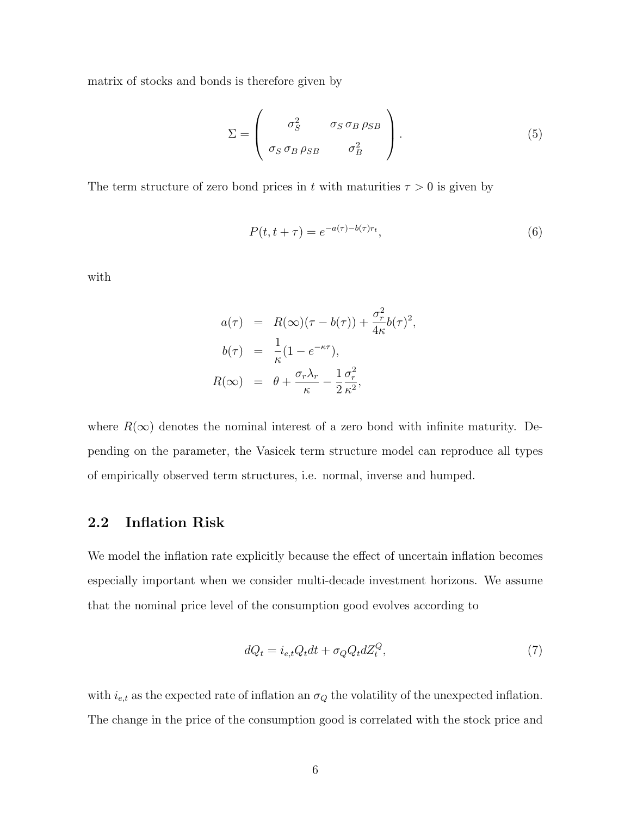matrix of stocks and bonds is therefore given by

$$
\Sigma = \begin{pmatrix} \sigma_S^2 & \sigma_S \sigma_B \rho_{SB} \\ \sigma_S \sigma_B \rho_{SB} & \sigma_B^2 \end{pmatrix} . \tag{5}
$$

The term structure of zero bond prices in t with maturities  $\tau > 0$  is given by

<span id="page-8-0"></span>
$$
P(t, t + \tau) = e^{-a(\tau) - b(\tau)r_t},\tag{6}
$$

with

$$
a(\tau) = R(\infty)(\tau - b(\tau)) + \frac{\sigma_r^2}{4\kappa}b(\tau)^2,
$$
  
\n
$$
b(\tau) = \frac{1}{\kappa}(1 - e^{-\kappa\tau}),
$$
  
\n
$$
R(\infty) = \theta + \frac{\sigma_r \lambda_r}{\kappa} - \frac{1}{2}\frac{\sigma_r^2}{\kappa^2},
$$

where  $R(\infty)$  denotes the nominal interest of a zero bond with infinite maturity. Depending on the parameter, the Vasicek term structure model can reproduce all types of empirically observed term structures, i.e. normal, inverse and humped.

## 2.2 Inflation Risk

We model the inflation rate explicitly because the effect of uncertain inflation becomes especially important when we consider multi-decade investment horizons. We assume that the nominal price level of the consumption good evolves according to

$$
dQ_t = i_{e,t} Q_t dt + \sigma_Q Q_t dZ_t^Q, \qquad (7)
$$

with  $i_{e,t}$  as the expected rate of inflation an  $\sigma_Q$  the volatility of the unexpected inflation. The change in the price of the consumption good is correlated with the stock price and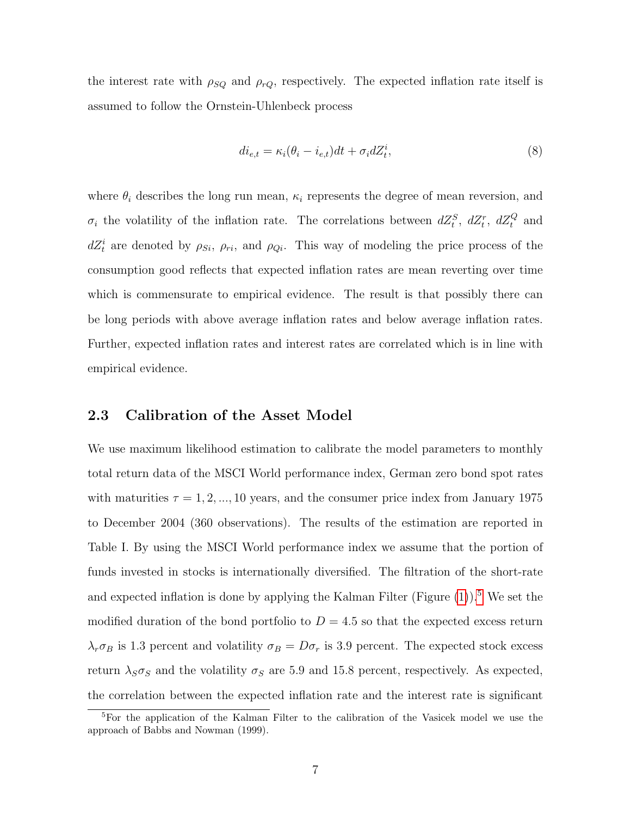the interest rate with  $\rho_{SQ}$  and  $\rho_{rQ}$ , respectively. The expected inflation rate itself is assumed to follow the Ornstein-Uhlenbeck process

$$
di_{e,t} = \kappa_i(\theta_i - i_{e,t})dt + \sigma_i dZ_t^i,
$$
\n(8)

where  $\theta_i$  describes the long run mean,  $\kappa_i$  represents the degree of mean reversion, and  $\sigma_i$  the volatility of the inflation rate. The correlations between  $dZ_t^S$ ,  $dZ_t^r$ ,  $dZ_t^Q$  and  $dZ_t^i$  are denoted by  $\rho_{Si}$ ,  $\rho_{ri}$ , and  $\rho_{Qi}$ . This way of modeling the price process of the consumption good reflects that expected inflation rates are mean reverting over time which is commensurate to empirical evidence. The result is that possibly there can be long periods with above average inflation rates and below average inflation rates. Further, expected inflation rates and interest rates are correlated which is in line with empirical evidence.

#### 2.3 Calibration of the Asset Model

We use maximum likelihood estimation to calibrate the model parameters to monthly total return data of the MSCI World performance index, German zero bond spot rates with maturities  $\tau = 1, 2, ..., 10$  years, and the consumer price index from January 1975 to December 2004 (360 observations). The results of the estimation are reported in Table I. By using the MSCI World performance index we assume that the portion of funds invested in stocks is internationally diversified. The filtration of the short-rate and expected inflation is done by applying the Kalman Filter (Figure  $(1)$ ).<sup>[5](#page-9-0)</sup> We set the modified duration of the bond portfolio to  $D = 4.5$  so that the expected excess return  $\lambda_r \sigma_B$  is 1.3 percent and volatility  $\sigma_B = D \sigma_r$  is 3.9 percent. The expected stock excess return  $\lambda_S \sigma_S$  and the volatility  $\sigma_S$  are 5.9 and 15.8 percent, respectively. As expected, the correlation between the expected inflation rate and the interest rate is significant

<span id="page-9-0"></span><sup>&</sup>lt;sup>5</sup>For the application of the Kalman Filter to the calibration of the Vasicek model we use the approach of Babbs and Nowman (1999).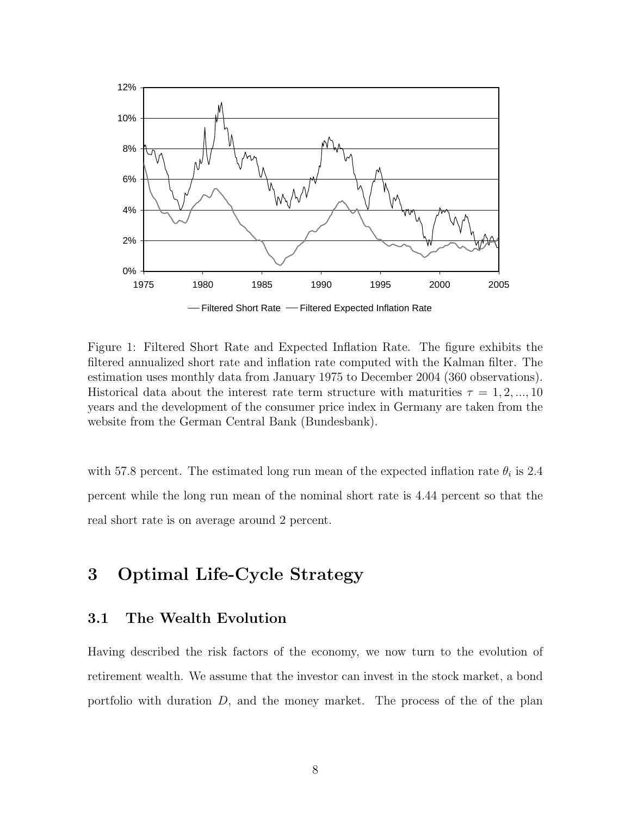

<span id="page-10-0"></span>Figure 1: Filtered Short Rate and Expected Inflation Rate. The figure exhibits the filtered annualized short rate and inflation rate computed with the Kalman filter. The estimation uses monthly data from January 1975 to December 2004 (360 observations). Historical data about the interest rate term structure with maturities  $\tau = 1, 2, ..., 10$ years and the development of the consumer price index in Germany are taken from the website from the German Central Bank (Bundesbank).

with 57.8 percent. The estimated long run mean of the expected inflation rate  $\theta_i$  is 2.4 percent while the long run mean of the nominal short rate is 4.44 percent so that the real short rate is on average around 2 percent.

# 3 Optimal Life-Cycle Strategy

## 3.1 The Wealth Evolution

Having described the risk factors of the economy, we now turn to the evolution of retirement wealth. We assume that the investor can invest in the stock market, a bond portfolio with duration D, and the money market. The process of the of the plan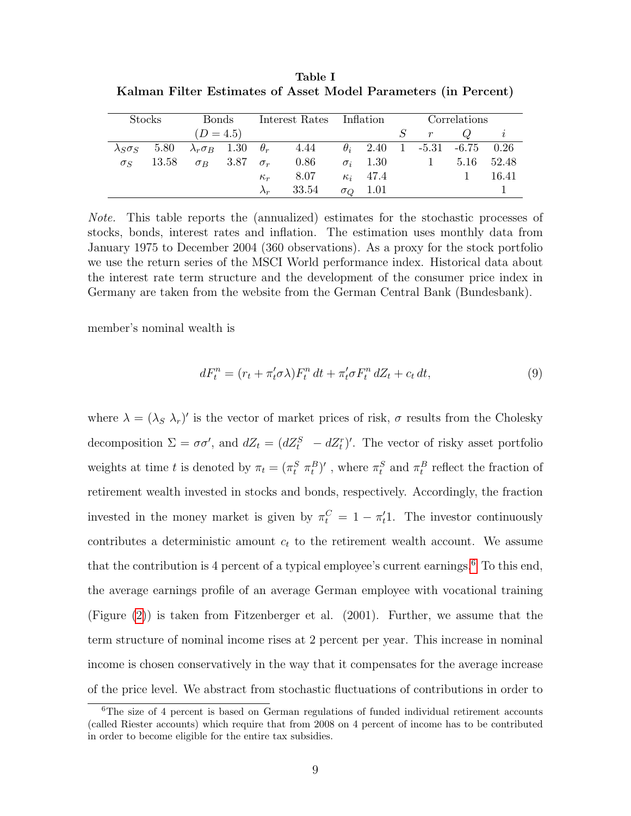Table I Kalman Filter Estimates of Asset Model Parameters (in Percent)

| <b>Stocks</b>          |       | <b>Bonds</b>                         |  | Interest Rates Inflation |       |  |                 | Correlations |                                    |      |       |
|------------------------|-------|--------------------------------------|--|--------------------------|-------|--|-----------------|--------------|------------------------------------|------|-------|
|                        |       | $(D = 4.5)$                          |  |                          |       |  |                 |              | $\boldsymbol{r}$                   |      |       |
| $\lambda$ s $\sigma$ s | 5.80  | $\lambda_r \sigma_B$ 1.30 $\theta_r$ |  |                          | 4.44  |  |                 |              | $\theta_i$ 2.40 1 -5.31 -6.75 0.26 |      |       |
| $\sigma_S$             | 13.58 | $\sigma_B$ 3.87                      |  | $\sigma_r$               | 0.86  |  | $\sigma_i$ 1.30 |              |                                    | 5.16 | 52.48 |
|                        |       |                                      |  | $\kappa_r$               | 8.07  |  | $\kappa_i$ 47.4 |              |                                    |      | 16.41 |
|                        |       |                                      |  | $\lambda_r$              | 33.54 |  | $\sigma_Q$ 1.01 |              |                                    |      |       |

Note. This table reports the (annualized) estimates for the stochastic processes of stocks, bonds, interest rates and inflation. The estimation uses monthly data from January 1975 to December 2004 (360 observations). As a proxy for the stock portfolio we use the return series of the MSCI World performance index. Historical data about the interest rate term structure and the development of the consumer price index in Germany are taken from the website from the German Central Bank (Bundesbank).

member's nominal wealth is

$$
dF_t^n = (r_t + \pi'_t \sigma \lambda) F_t^n dt + \pi'_t \sigma F_t^n dZ_t + c_t dt,
$$
\n
$$
(9)
$$

where  $\lambda = (\lambda_S \lambda_r)'$  is the vector of market prices of risk,  $\sigma$  results from the Cholesky decomposition  $\Sigma = \sigma \sigma'$ , and  $dZ_t = (dZ_t^S - dZ_t^r)'$ . The vector of risky asset portfolio weights at time t is denoted by  $\pi_t = (\pi_t^S \pi_t^B)'$ , where  $\pi_t^S$  and  $\pi_t^B$  reflect the fraction of retirement wealth invested in stocks and bonds, respectively. Accordingly, the fraction invested in the money market is given by  $\pi_t^C = 1 - \pi_t^T$ . The investor continuously contributes a deterministic amount  $c_t$  to the retirement wealth account. We assume that the contribution is 4 percent of a typical employee's current earnings.<sup>[6](#page-11-0)</sup> To this end, the average earnings profile of an average German employee with vocational training (Figure [\(2\)](#page-12-0)) is taken from Fitzenberger et al. (2001). Further, we assume that the term structure of nominal income rises at 2 percent per year. This increase in nominal income is chosen conservatively in the way that it compensates for the average increase of the price level. We abstract from stochastic fluctuations of contributions in order to

<span id="page-11-0"></span> ${}^{6}$ The size of 4 percent is based on German regulations of funded individual retirement accounts (called Riester accounts) which require that from 2008 on 4 percent of income has to be contributed in order to become eligible for the entire tax subsidies.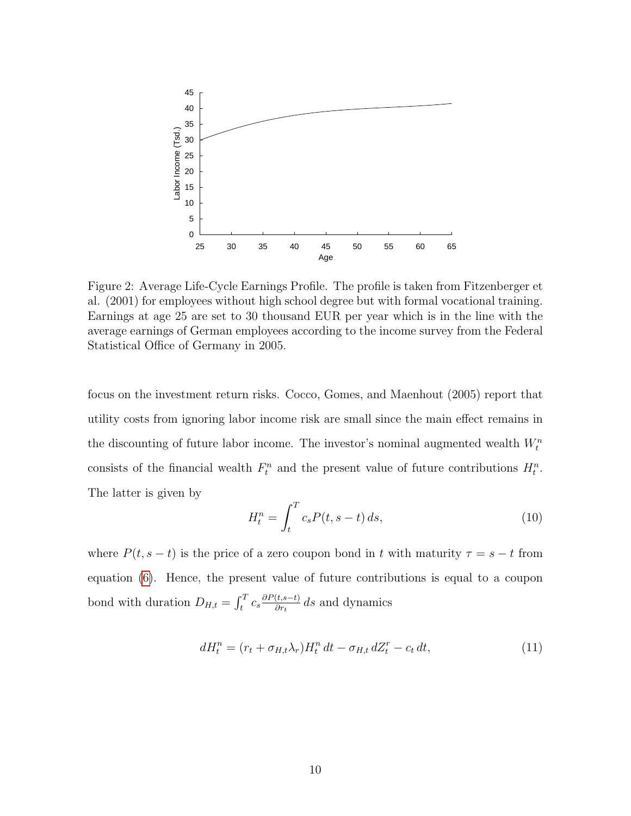

<span id="page-12-0"></span>Figure 2: Average Life-Cycle Earnings Profile. The profile is taken from Fitzenberger et al. (2001) for employees without high school degree but with formal vocational training. Earnings at age 25 are set to 30 thousand EUR per year which is in the line with the average earnings of German employees according to the income survey from the Federal Statistical Office of Germany in 2005.

focus on the investment return risks. Cocco, Gomes, and Maenhout (2005) report that utility costs from ignoring labor income risk are small since the main effect remains in the discounting of future labor income. The investor's nominal augmented wealth  $W_t^n$ consists of the financial wealth  $F_t^n$  and the present value of future contributions  $H_t^n$ . The latter is given by

$$
H_t^n = \int_t^T c_s P(t, s - t) \, ds,\tag{10}
$$

where  $P(t, s - t)$  is the price of a zero coupon bond in t with maturity  $\tau = s - t$  from equation [\(6\)](#page-8-0). Hence, the present value of future contributions is equal to a coupon bond with duration  $D_{H,t} = \int_t^T c_s \frac{\partial P(t, s-t)}{\partial r_t}$  $\frac{(t,s-t)}{\partial r_t}$  ds and dynamics

$$
dH_t^n = (r_t + \sigma_{H,t}\lambda_r)H_t^n dt - \sigma_{H,t} dZ_t^r - c_t dt,
$$
\n(11)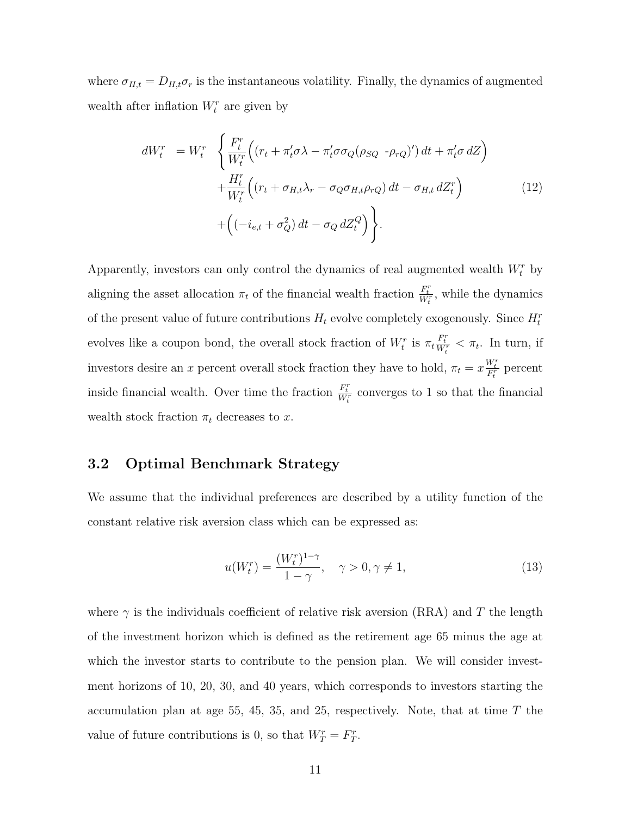where  $\sigma_{H,t} = D_{H,t} \sigma_r$  is the instantaneous volatility. Finally, the dynamics of augmented wealth after inflation  $W_t^r$  are given by

<span id="page-13-0"></span>
$$
dW_t^r = W_t^r \left\{ \frac{F_t^r}{W_t^r} \Big( (r_t + \pi_t' \sigma \lambda - \pi_t' \sigma \sigma_Q (\rho_{SQ} - \rho_{rQ})' \Big) dt + \pi_t' \sigma dZ \Big) + \frac{H_t^r}{W_t^r} \Big( (r_t + \sigma_{H,t} \lambda_r - \sigma_Q \sigma_{H,t} \rho_{rQ}) dt - \sigma_{H,t} dZ_t^r \Big) + \Big( (-i_{e,t} + \sigma_Q^2) dt - \sigma_Q dZ_t^Q \Big) \right\}.
$$
 (12)

Apparently, investors can only control the dynamics of real augmented wealth  $W_t^r$  by aligning the asset allocation  $\pi_t$  of the financial wealth fraction  $\frac{F_t^r}{W_t^r}$ , while the dynamics of the present value of future contributions  $H_t$  evolve completely exogenously. Since  $H_t^r$ evolves like a coupon bond, the overall stock fraction of  $W_t^r$  is  $\pi_t \frac{F_t^r}{W_t^r} < \pi_t$ . In turn, if investors desire an x percent overall stock fraction they have to hold,  $\pi_t = x \frac{W_t^r}{F_t^r}$  percent inside financial wealth. Over time the fraction  $\frac{F_t^r}{W_t^r}$  converges to 1 so that the financial wealth stock fraction  $\pi_t$  decreases to x.

#### 3.2 Optimal Benchmark Strategy

We assume that the individual preferences are described by a utility function of the constant relative risk aversion class which can be expressed as:

$$
u(W_t^r) = \frac{(W_t^r)^{1-\gamma}}{1-\gamma}, \quad \gamma > 0, \gamma \neq 1,
$$
\n(13)

where  $\gamma$  is the individuals coefficient of relative risk aversion (RRA) and T the length of the investment horizon which is defined as the retirement age 65 minus the age at which the investor starts to contribute to the pension plan. We will consider investment horizons of 10, 20, 30, and 40 years, which corresponds to investors starting the accumulation plan at age 55, 45, 35, and 25, respectively. Note, that at time  $T$  the value of future contributions is 0, so that  $W_T^r = F_T^r$ .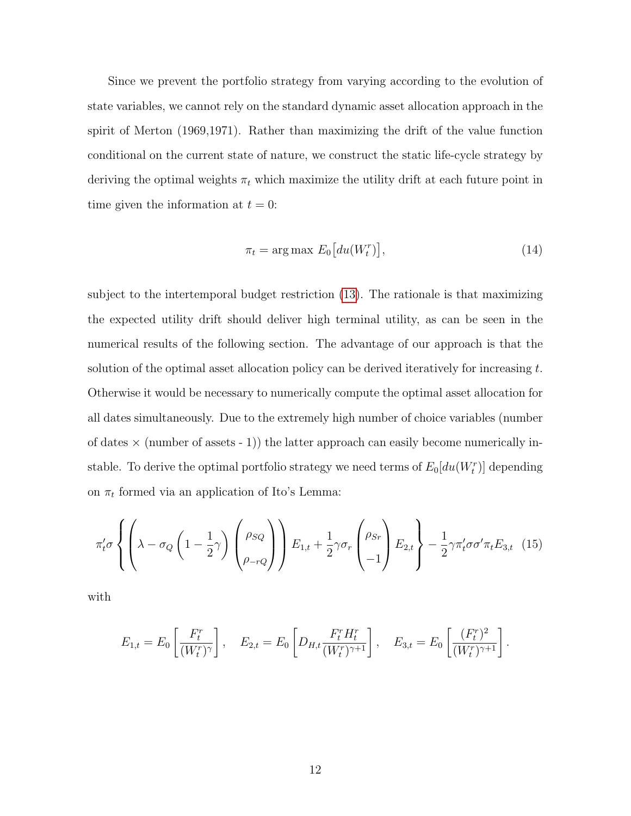Since we prevent the portfolio strategy from varying according to the evolution of state variables, we cannot rely on the standard dynamic asset allocation approach in the spirit of Merton (1969,1971). Rather than maximizing the drift of the value function conditional on the current state of nature, we construct the static life-cycle strategy by deriving the optimal weights  $\pi_t$  which maximize the utility drift at each future point in time given the information at  $t = 0$ :

<span id="page-14-0"></span>
$$
\pi_t = \arg \max E_0 \big[ du(W_t^r) \big],\tag{14}
$$

.

subject to the intertemporal budget restriction [\(13\)](#page-13-0). The rationale is that maximizing the expected utility drift should deliver high terminal utility, as can be seen in the numerical results of the following section. The advantage of our approach is that the solution of the optimal asset allocation policy can be derived iteratively for increasing  $t$ . Otherwise it would be necessary to numerically compute the optimal asset allocation for all dates simultaneously. Due to the extremely high number of choice variables (number of dates  $\times$  (number of assets - 1)) the latter approach can easily become numerically instable. To derive the optimal portfolio strategy we need terms of  $E_0[du(W_t^r)]$  depending on  $\pi_t$  formed via an application of Ito's Lemma:

<span id="page-14-1"></span>
$$
\pi'_t \sigma \left\{ \left( \lambda - \sigma_Q \left( 1 - \frac{1}{2} \gamma \right) \begin{pmatrix} \rho_{SQ} \\ \rho_{-rQ} \end{pmatrix} \right) E_{1,t} + \frac{1}{2} \gamma \sigma_r \begin{pmatrix} \rho_{Sr} \\ -1 \end{pmatrix} E_{2,t} \right\} - \frac{1}{2} \gamma \pi'_t \sigma \sigma' \pi_t E_{3,t} \quad (15)
$$

with

$$
E_{1,t} = E_0 \left[ \frac{F_t^r}{(W_t^r)^\gamma} \right], \quad E_{2,t} = E_0 \left[ D_{H,t} \frac{F_t^r H_t^r}{(W_t^r)^{\gamma+1}} \right], \quad E_{3,t} = E_0 \left[ \frac{(F_t^r)^2}{(W_t^r)^{\gamma+1}} \right]
$$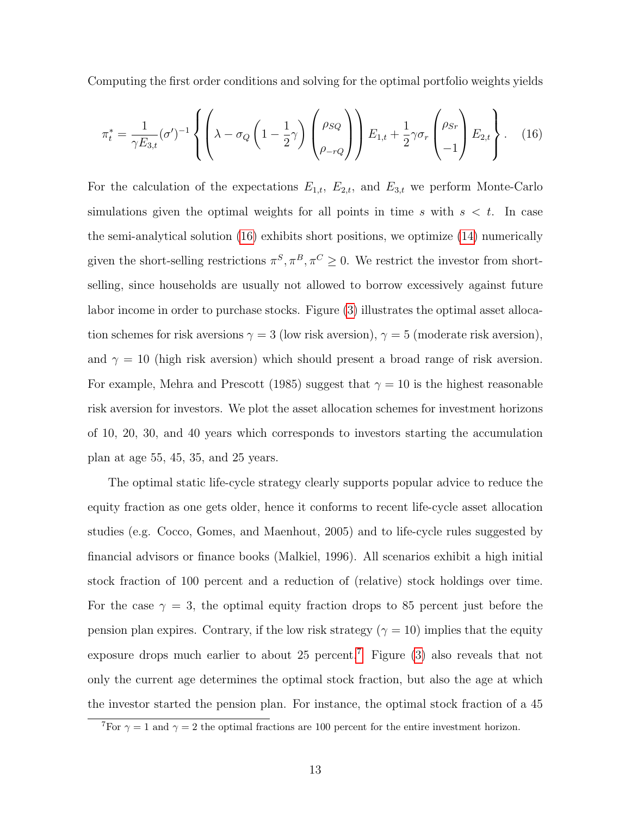Computing the first order conditions and solving for the optimal portfolio weights yields

<span id="page-15-0"></span>
$$
\pi_t^* = \frac{1}{\gamma E_{3,t}} (\sigma')^{-1} \left\{ \left( \lambda - \sigma_Q \left( 1 - \frac{1}{2} \gamma \right) \begin{pmatrix} \rho_{SQ} \\ \rho_{-rQ} \end{pmatrix} \right) E_{1,t} + \frac{1}{2} \gamma \sigma_r \begin{pmatrix} \rho_{Sr} \\ -1 \end{pmatrix} E_{2,t} \right\}.
$$
 (16)

For the calculation of the expectations  $E_{1,t}$ ,  $E_{2,t}$ , and  $E_{3,t}$  we perform Monte-Carlo simulations given the optimal weights for all points in time  $s$  with  $s < t$ . In case the semi-analytical solution [\(16\)](#page-15-0) exhibits short positions, we optimize [\(14\)](#page-14-0) numerically given the short-selling restrictions  $\pi^S, \pi^B, \pi^C \geq 0$ . We restrict the investor from shortselling, since households are usually not allowed to borrow excessively against future labor income in order to purchase stocks. Figure [\(3\)](#page-16-0) illustrates the optimal asset allocation schemes for risk aversions  $\gamma = 3$  (low risk aversion),  $\gamma = 5$  (moderate risk aversion), and  $\gamma = 10$  (high risk aversion) which should present a broad range of risk aversion. For example, Mehra and Prescott (1985) suggest that  $\gamma = 10$  is the highest reasonable risk aversion for investors. We plot the asset allocation schemes for investment horizons of 10, 20, 30, and 40 years which corresponds to investors starting the accumulation plan at age 55, 45, 35, and 25 years.

The optimal static life-cycle strategy clearly supports popular advice to reduce the equity fraction as one gets older, hence it conforms to recent life-cycle asset allocation studies (e.g. Cocco, Gomes, and Maenhout, 2005) and to life-cycle rules suggested by financial advisors or finance books (Malkiel, 1996). All scenarios exhibit a high initial stock fraction of 100 percent and a reduction of (relative) stock holdings over time. For the case  $\gamma = 3$ , the optimal equity fraction drops to 85 percent just before the pension plan expires. Contrary, if the low risk strategy ( $\gamma = 10$ ) implies that the equity exposure drops much earlier to about 25 percent.<sup>[7](#page-15-1)</sup> Figure [\(3\)](#page-16-0) also reveals that not only the current age determines the optimal stock fraction, but also the age at which the investor started the pension plan. For instance, the optimal stock fraction of a 45

<span id="page-15-1"></span><sup>&</sup>lt;sup>7</sup>For  $\gamma = 1$  and  $\gamma = 2$  the optimal fractions are 100 percent for the entire investment horizon.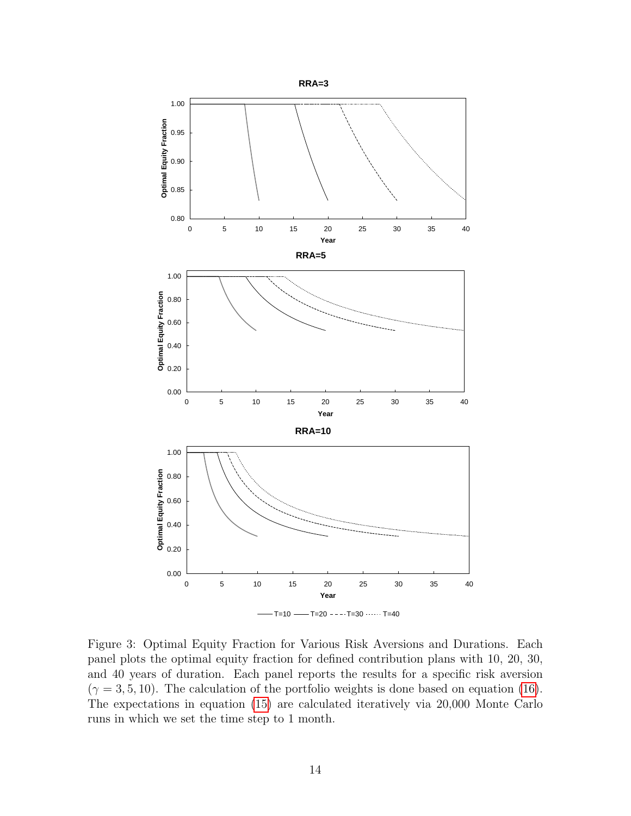

<span id="page-16-0"></span>Figure 3: Optimal Equity Fraction for Various Risk Aversions and Durations. Each panel plots the optimal equity fraction for defined contribution plans with 10, 20, 30, and 40 years of duration. Each panel reports the results for a specific risk aversion  $(\gamma = 3, 5, 10)$ . The calculation of the portfolio weights is done based on equation [\(16\)](#page-15-0). The expectations in equation [\(15\)](#page-14-1) are calculated iteratively via 20,000 Monte Carlo runs in which we set the time step to 1 month.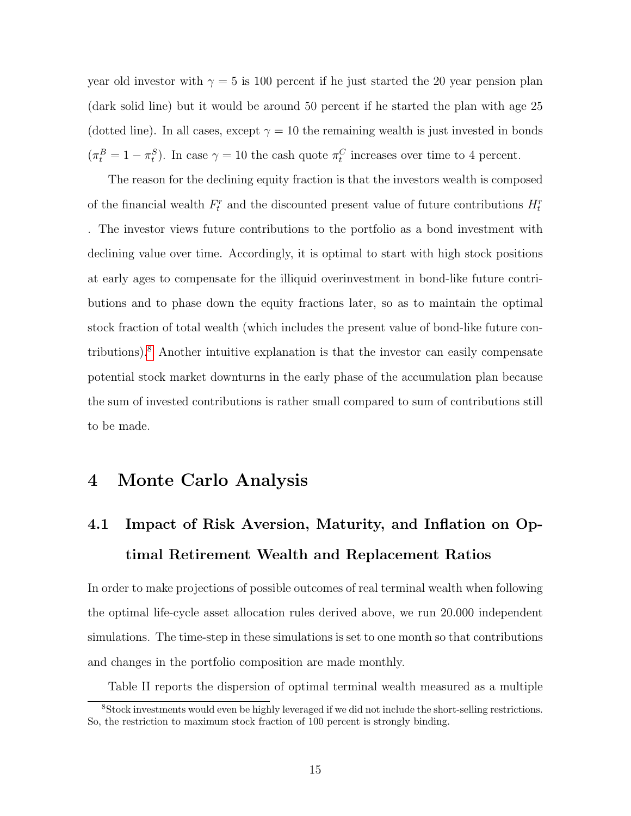year old investor with  $\gamma = 5$  is 100 percent if he just started the 20 year pension plan (dark solid line) but it would be around 50 percent if he started the plan with age 25 (dotted line). In all cases, except  $\gamma = 10$  the remaining wealth is just invested in bonds  $(\pi_t^B = 1 - \pi_t^S)$ . In case  $\gamma = 10$  the cash quote  $\pi_t^C$  increases over time to 4 percent.

The reason for the declining equity fraction is that the investors wealth is composed of the financial wealth  $F_t^r$  and the discounted present value of future contributions  $H_t^r$ . The investor views future contributions to the portfolio as a bond investment with declining value over time. Accordingly, it is optimal to start with high stock positions at early ages to compensate for the illiquid overinvestment in bond-like future contributions and to phase down the equity fractions later, so as to maintain the optimal stock fraction of total wealth (which includes the present value of bond-like future contributions).[8](#page-17-0) Another intuitive explanation is that the investor can easily compensate potential stock market downturns in the early phase of the accumulation plan because the sum of invested contributions is rather small compared to sum of contributions still to be made.

# 4 Monte Carlo Analysis

# 4.1 Impact of Risk Aversion, Maturity, and Inflation on Optimal Retirement Wealth and Replacement Ratios

In order to make projections of possible outcomes of real terminal wealth when following the optimal life-cycle asset allocation rules derived above, we run 20.000 independent simulations. The time-step in these simulations is set to one month so that contributions and changes in the portfolio composition are made monthly.

Table II reports the dispersion of optimal terminal wealth measured as a multiple

<span id="page-17-0"></span><sup>8</sup>Stock investments would even be highly leveraged if we did not include the short-selling restrictions. So, the restriction to maximum stock fraction of 100 percent is strongly binding.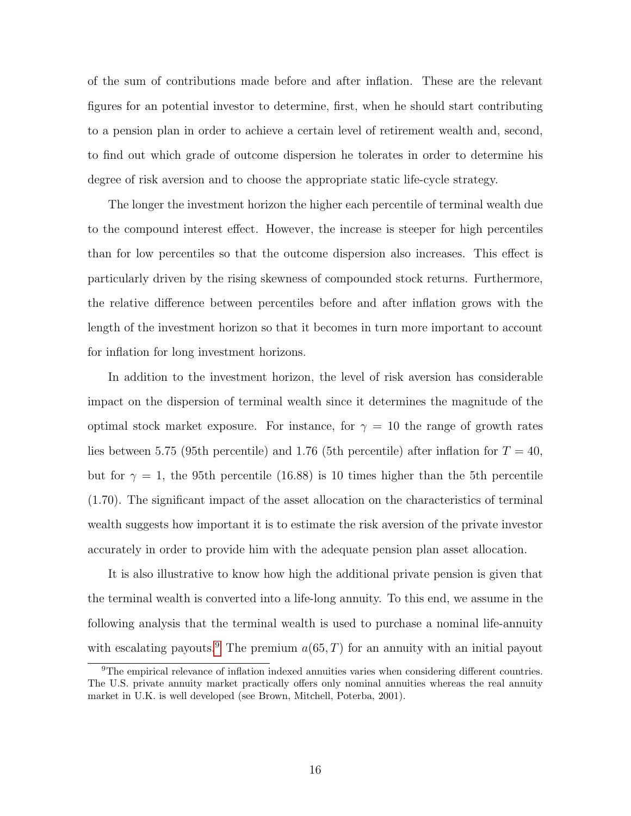of the sum of contributions made before and after inflation. These are the relevant figures for an potential investor to determine, first, when he should start contributing to a pension plan in order to achieve a certain level of retirement wealth and, second, to find out which grade of outcome dispersion he tolerates in order to determine his degree of risk aversion and to choose the appropriate static life-cycle strategy.

The longer the investment horizon the higher each percentile of terminal wealth due to the compound interest effect. However, the increase is steeper for high percentiles than for low percentiles so that the outcome dispersion also increases. This effect is particularly driven by the rising skewness of compounded stock returns. Furthermore, the relative difference between percentiles before and after inflation grows with the length of the investment horizon so that it becomes in turn more important to account for inflation for long investment horizons.

In addition to the investment horizon, the level of risk aversion has considerable impact on the dispersion of terminal wealth since it determines the magnitude of the optimal stock market exposure. For instance, for  $\gamma = 10$  the range of growth rates lies between 5.75 (95th percentile) and 1.76 (5th percentile) after inflation for  $T = 40$ , but for  $\gamma = 1$ , the 95th percentile (16.88) is 10 times higher than the 5th percentile (1.70). The significant impact of the asset allocation on the characteristics of terminal wealth suggests how important it is to estimate the risk aversion of the private investor accurately in order to provide him with the adequate pension plan asset allocation.

It is also illustrative to know how high the additional private pension is given that the terminal wealth is converted into a life-long annuity. To this end, we assume in the following analysis that the terminal wealth is used to purchase a nominal life-annuity with escalating payouts.<sup>[9](#page-18-0)</sup> The premium  $a(65, T)$  for an annuity with an initial payout

<span id="page-18-0"></span><sup>9</sup>The empirical relevance of inflation indexed annuities varies when considering different countries. The U.S. private annuity market practically offers only nominal annuities whereas the real annuity market in U.K. is well developed (see Brown, Mitchell, Poterba, 2001).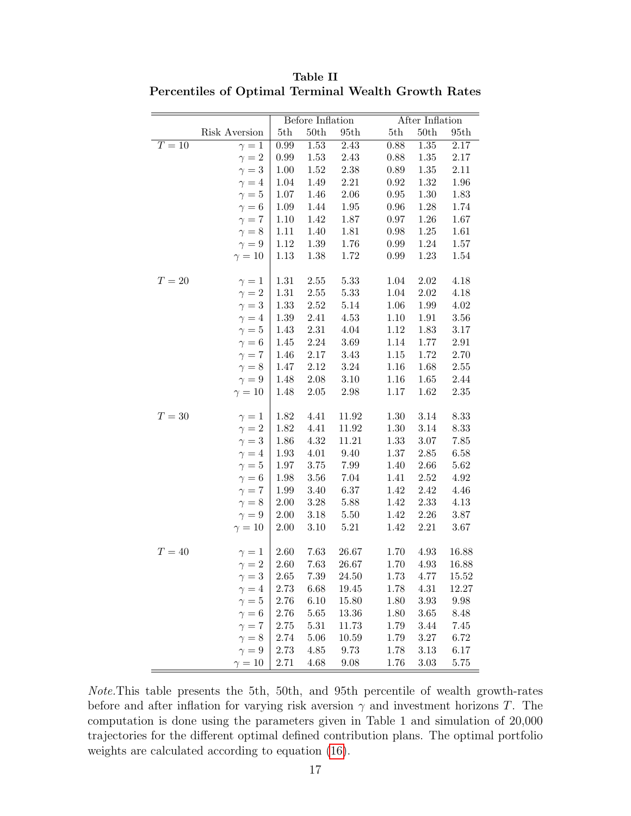|        |               | Before Inflation |              |          |            | After Inflation |          |  |  |
|--------|---------------|------------------|--------------|----------|------------|-----------------|----------|--|--|
|        | Risk Aversion | 5th              | $50{\rm th}$ | 95th     | 5th        | 50th            | 95th     |  |  |
| $T=10$ | $\gamma=1$    | $0.99\,$         | $1.53\,$     | 2.43     | $0.88\,$   | $1.35\,$        | 2.17     |  |  |
|        | $\gamma = 2$  | 0.99             | 1.53         | 2.43     | 0.88       | 1.35            | 2.17     |  |  |
|        | $\gamma = 3$  | 1.00             | 1.52         | $2.38\,$ | 0.89       | 1.35            | 2.11     |  |  |
|        | $\gamma = 4$  | 1.04             | 1.49         | $2.21\,$ | $\rm 0.92$ | 1.32            | 1.96     |  |  |
|        | $\gamma=5$    | 1.07             | 1.46         | $2.06\,$ | $\rm 0.95$ | 1.30            | 1.83     |  |  |
|        | $\gamma = 6$  | 1.09             | 1.44         | 1.95     | $0.96\,$   | 1.28            | 1.74     |  |  |
|        | $\gamma = 7$  | 1.10             | 1.42         | 1.87     | $0.97\,$   | $1.26\,$        | 1.67     |  |  |
|        | $\gamma = 8$  | 1.11             | 1.40         | 1.81     | $0.98\,$   | 1.25            | 1.61     |  |  |
|        | $\gamma = 9$  | 1.12             | 1.39         | 1.76     | 0.99       | 1.24            | 1.57     |  |  |
|        | $\gamma = 10$ | 1.13             | 1.38         | 1.72     | 0.99       | $1.23\,$        | 1.54     |  |  |
|        |               |                  |              |          |            |                 |          |  |  |
| $T=20$ | $\gamma=1$    | 1.31             | $2.55\,$     | 5.33     | 1.04       | $2.02\,$        | 4.18     |  |  |
|        | $\gamma = 2$  | 1.31             | $2.55\,$     | 5.33     | 1.04       | $2.02\,$        | 4.18     |  |  |
|        | $\gamma=3$    | 1.33             | 2.52         | 5.14     | 1.06       | 1.99            | 4.02     |  |  |
|        | $\gamma = 4$  | $1.39\,$         | 2.41         | 4.53     | 1.10       | 1.91            | 3.56     |  |  |
|        | $\gamma=5$    | 1.43             | $2.31\,$     | 4.04     | 1.12       | 1.83            | $3.17\,$ |  |  |
|        | $\gamma = 6$  | 1.45             | $2.24\,$     | 3.69     | 1.14       | 1.77            | $2.91\,$ |  |  |
|        | $\gamma = 7$  | 1.46             | $2.17\,$     | 3.43     | 1.15       | 1.72            | 2.70     |  |  |
|        | $\gamma = 8$  | 1.47             | 2.12         | 3.24     | 1.16       | 1.68            | $2.55\,$ |  |  |
|        | $\gamma=9$    | 1.48             | $2.08\,$     | $3.10\,$ | 1.16       | 1.65            | 2.44     |  |  |
|        | $\gamma = 10$ | 1.48             | $2.05\,$     | $2.98\,$ | $1.17\,$   | 1.62            | $2.35\,$ |  |  |
|        |               |                  |              |          |            |                 |          |  |  |
| $T=30$ | $\gamma=1$    | 1.82             | 4.41         | 11.92    | 1.30       | 3.14            | 8.33     |  |  |
|        | $\gamma=2$    | 1.82             | 4.41         | 11.92    | 1.30       | 3.14            | 8.33     |  |  |
|        | $\gamma=3$    | 1.86             | 4.32         | 11.21    | 1.33       | $3.07\,$        | $7.85\,$ |  |  |
|        | $\gamma = 4$  | 1.93             | 4.01         | 9.40     | 1.37       | $2.85\,$        | 6.58     |  |  |
|        | $\gamma=5$    | 1.97             | $3.75\,$     | 7.99     | 1.40       | 2.66            | 5.62     |  |  |
|        | $\gamma=6$    | 1.98             | 3.56         | $7.04\,$ | 1.41       | 2.52            | 4.92     |  |  |
|        | $\gamma=7$    | 1.99             | 3.40         | 6.37     | 1.42       | 2.42            | 4.46     |  |  |
|        | $\gamma = 8$  | $2.00\,$         | $3.28\,$     | 5.88     | 1.42       | $2.33\,$        | 4.13     |  |  |
|        | $\gamma = 9$  | $2.00\,$         | $3.18\,$     | 5.50     | 1.42       | 2.26            | $3.87\,$ |  |  |
|        | $\gamma = 10$ | $2.00\,$         | $3.10\,$     | 5.21     | 1.42       | 2.21            | 3.67     |  |  |
|        |               |                  |              |          |            |                 |          |  |  |
| $T=40$ | $\gamma=1$    | 2.60             | 7.63         | 26.67    | 1.70       | 4.93            | 16.88    |  |  |
|        | $\gamma=2$    | 2.60             | 7.63         | 26.67    | 1.70       | 4.93            | 16.88    |  |  |
|        | $\gamma = 3$  | $2.65\,$         | 7.39         | 24.50    | 1.73       | 4.77            | 15.52    |  |  |
|        | $\gamma=4$    | 2.73             | 6.68         | 19.45    | 1.78       | 4.31            | 12.27    |  |  |
|        | $\gamma=5$    | 2.76             | 6.10         | 15.80    | 1.80       | $3.93\,$        | $9.98\,$ |  |  |
|        | $\gamma=6$    | 2.76             | 5.65         | 13.36    | 1.80       | 3.65            | 8.48     |  |  |
|        | $\gamma = 7$  | 2.75             | 5.31         | 11.73    | 1.79       | 3.44            | 7.45     |  |  |
|        | $\gamma = 8$  | 2.74             | 5.06         | 10.59    | 1.79       | $3.27\,$        | 6.72     |  |  |
|        | $\gamma = 9$  | 2.73             | 4.85         | 9.73     | 1.78       | 3.13            | 6.17     |  |  |
|        | $\gamma = 10$ | 2.71             | 4.68         | 9.08     | 1.76       | $3.03\,$        | 5.75     |  |  |

Table II Percentiles of Optimal Terminal Wealth Growth Rates

Note.This table presents the 5th, 50th, and 95th percentile of wealth growth-rates before and after inflation for varying risk aversion  $\gamma$  and investment horizons T. The computation is done using the parameters given in Table 1 and simulation of 20,000 trajectories for the different optimal defined contribution plans. The optimal portfolio weights are calculated according to equation [\(16\)](#page-15-0).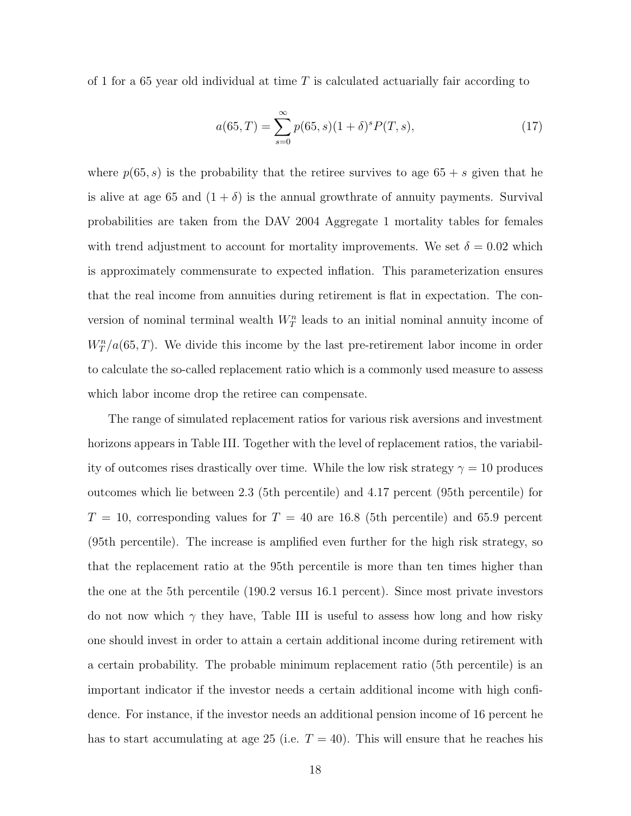of 1 for a 65 year old individual at time  $T$  is calculated actuarially fair according to

$$
a(65, T) = \sum_{s=0}^{\infty} p(65, s)(1+\delta)^s P(T, s),
$$
\n(17)

where  $p(65, s)$  is the probability that the retiree survives to age  $65 + s$  given that he is alive at age 65 and  $(1 + \delta)$  is the annual growthrate of annuity payments. Survival probabilities are taken from the DAV 2004 Aggregate 1 mortality tables for females with trend adjustment to account for mortality improvements. We set  $\delta = 0.02$  which is approximately commensurate to expected inflation. This parameterization ensures that the real income from annuities during retirement is flat in expectation. The conversion of nominal terminal wealth  $W_T^n$  leads to an initial nominal annuity income of  $W_T^n/a(65,T)$ . We divide this income by the last pre-retirement labor income in order to calculate the so-called replacement ratio which is a commonly used measure to assess which labor income drop the retiree can compensate.

The range of simulated replacement ratios for various risk aversions and investment horizons appears in Table III. Together with the level of replacement ratios, the variability of outcomes rises drastically over time. While the low risk strategy  $\gamma = 10$  produces outcomes which lie between 2.3 (5th percentile) and 4.17 percent (95th percentile) for  $T = 10$ , corresponding values for  $T = 40$  are 16.8 (5th percentile) and 65.9 percent (95th percentile). The increase is amplified even further for the high risk strategy, so that the replacement ratio at the 95th percentile is more than ten times higher than the one at the 5th percentile (190.2 versus 16.1 percent). Since most private investors do not now which  $\gamma$  they have, Table III is useful to assess how long and how risky one should invest in order to attain a certain additional income during retirement with a certain probability. The probable minimum replacement ratio (5th percentile) is an important indicator if the investor needs a certain additional income with high confidence. For instance, if the investor needs an additional pension income of 16 percent he has to start accumulating at age 25 (i.e.  $T = 40$ ). This will ensure that he reaches his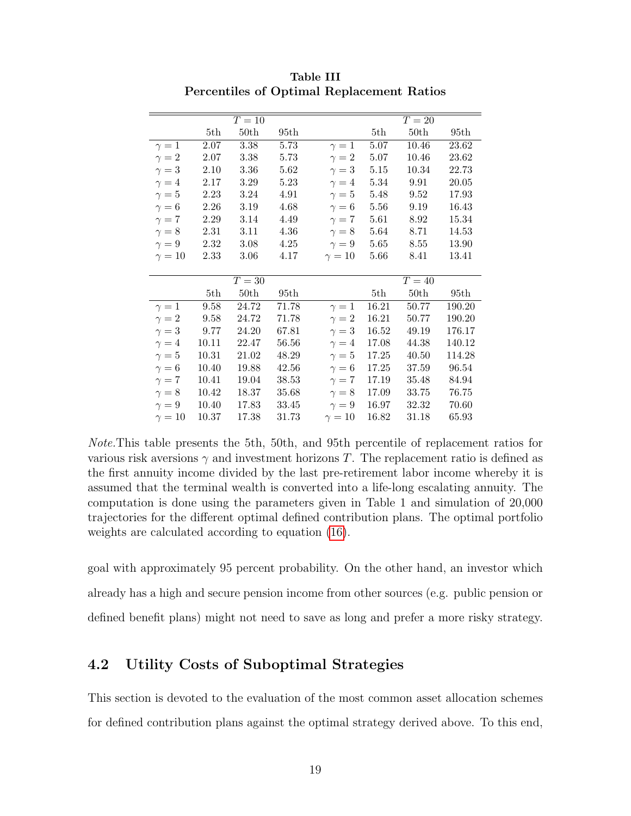|               |                     | $T=10$ |          |               |          | $T=20$              |        |
|---------------|---------------------|--------|----------|---------------|----------|---------------------|--------|
|               | 5th                 | 50th   | 95th     |               | 5th      | 50th                | 95th   |
| $\gamma=1$    | 2.07                | 3.38   | 5.73     | $\gamma=1$    | 5.07     | 10.46               | 23.62  |
| $\gamma = 2$  | 2.07                | 3.38   | 5.73     | $\gamma = 2$  | 5.07     | 10.46               | 23.62  |
| $\gamma=3$    | 2.10                | 3.36   | 5.62     | $\gamma=3$    | 5.15     | 10.34               | 22.73  |
| $\gamma = 4$  | 2.17                | 3.29   | 5.23     | $\gamma = 4$  | 5.34     | 9.91                | 20.05  |
| $\gamma=5$    | 2.23                | 3.24   | 4.91     | $\gamma=5$    | 5.48     | 9.52                | 17.93  |
| $\gamma = 6$  | 2.26                | 3.19   | 4.68     | $\gamma=6$    | $5.56\,$ | 9.19                | 16.43  |
| $\gamma = 7$  | 2.29                | 3.14   | $4.49\,$ | $\gamma=7$    | 5.61     | 8.92                | 15.34  |
| $\gamma = 8$  | 2.31                | 3.11   | 4.36     | $\gamma = 8$  | 5.64     | 8.71                | 14.53  |
| $\gamma = 9$  | 2.32                | 3.08   | 4.25     | $\gamma = 9$  | 5.65     | 8.55                | 13.90  |
| $\gamma = 10$ | 2.33                | 3.06   | 4.17     | $\gamma = 10$ | 5.66     | 8.41                | 13.41  |
|               |                     |        |          |               |          |                     |        |
|               |                     | $T=30$ |          |               |          | $\overline{T} = 40$ |        |
|               | 5th                 | 50th   | 95th     |               | 5th      | 50th                | 95th   |
| $\gamma=1$    | $\boldsymbol{9.58}$ | 24.72  | 71.78    | $\gamma=1$    | 16.21    | 50.77               | 190.20 |
| $\gamma = 2$  | 9.58                | 24.72  | 71.78    | $\gamma = 2$  | 16.21    | 50.77               | 190.20 |
| $\gamma=3$    | 9.77                | 24.20  | 67.81    | $\gamma=3$    | 16.52    | 49.19               | 176.17 |
| $\gamma = 4$  | 10.11               | 22.47  | 56.56    | $\gamma = 4$  | 17.08    | 44.38               | 140.12 |
| $\gamma=5$    | 10.31               | 21.02  | 48.29    | $\gamma=5$    | 17.25    | 40.50               | 114.28 |
| $\gamma = 6$  | 10.40               | 19.88  | 42.56    | $\gamma=6$    | 17.25    | 37.59               | 96.54  |
| $\gamma=7$    | 10.41               | 19.04  | 38.53    | $\gamma=7$    | 17.19    | 35.48               | 84.94  |
| $\gamma = 8$  | 10.42               | 18.37  | 35.68    | $\gamma = 8$  | 17.09    | 33.75               | 76.75  |
| $\gamma = 9$  | 10.40               | 17.83  | 33.45    | $\gamma=9$    | 16.97    | 32.32               | 70.60  |
|               |                     |        |          |               |          |                     |        |

Table III Percentiles of Optimal Replacement Ratios

Note.This table presents the 5th, 50th, and 95th percentile of replacement ratios for various risk aversions  $\gamma$  and investment horizons T. The replacement ratio is defined as the first annuity income divided by the last pre-retirement labor income whereby it is assumed that the terminal wealth is converted into a life-long escalating annuity. The computation is done using the parameters given in Table 1 and simulation of 20,000 trajectories for the different optimal defined contribution plans. The optimal portfolio weights are calculated according to equation [\(16\)](#page-15-0).

goal with approximately 95 percent probability. On the other hand, an investor which already has a high and secure pension income from other sources (e.g. public pension or defined benefit plans) might not need to save as long and prefer a more risky strategy.

## 4.2 Utility Costs of Suboptimal Strategies

This section is devoted to the evaluation of the most common asset allocation schemes for defined contribution plans against the optimal strategy derived above. To this end,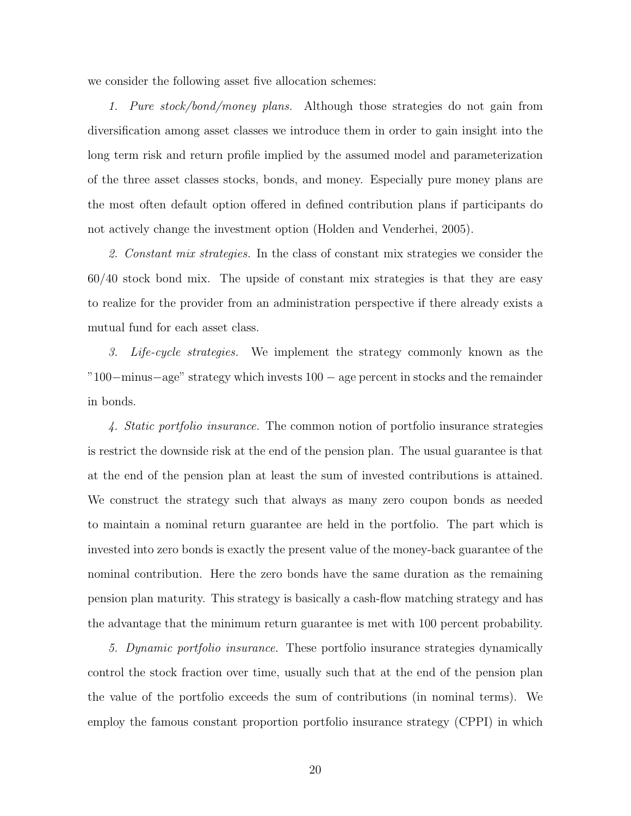we consider the following asset five allocation schemes:

1. Pure stock/bond/money plans. Although those strategies do not gain from diversification among asset classes we introduce them in order to gain insight into the long term risk and return profile implied by the assumed model and parameterization of the three asset classes stocks, bonds, and money. Especially pure money plans are the most often default option offered in defined contribution plans if participants do not actively change the investment option (Holden and Venderhei, 2005).

2. Constant mix strategies. In the class of constant mix strategies we consider the 60/40 stock bond mix. The upside of constant mix strategies is that they are easy to realize for the provider from an administration perspective if there already exists a mutual fund for each asset class.

3. Life-cycle strategies. We implement the strategy commonly known as the "100−minus−age" strategy which invests 100 − age percent in stocks and the remainder in bonds.

4. Static portfolio insurance. The common notion of portfolio insurance strategies is restrict the downside risk at the end of the pension plan. The usual guarantee is that at the end of the pension plan at least the sum of invested contributions is attained. We construct the strategy such that always as many zero coupon bonds as needed to maintain a nominal return guarantee are held in the portfolio. The part which is invested into zero bonds is exactly the present value of the money-back guarantee of the nominal contribution. Here the zero bonds have the same duration as the remaining pension plan maturity. This strategy is basically a cash-flow matching strategy and has the advantage that the minimum return guarantee is met with 100 percent probability.

5. Dynamic portfolio insurance. These portfolio insurance strategies dynamically control the stock fraction over time, usually such that at the end of the pension plan the value of the portfolio exceeds the sum of contributions (in nominal terms). We employ the famous constant proportion portfolio insurance strategy (CPPI) in which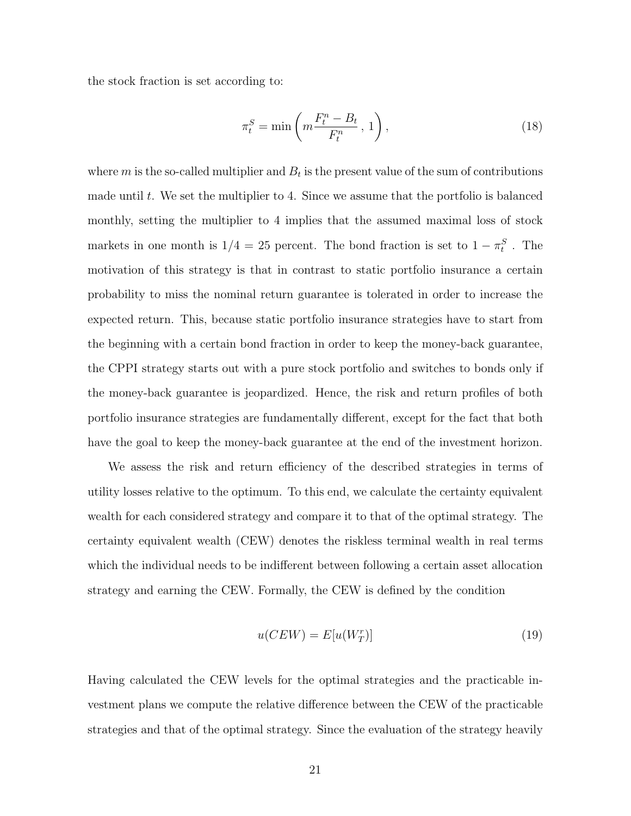the stock fraction is set according to:

$$
\pi_t^S = \min\left(m \frac{F_t^n - B_t}{F_t^n}, 1\right),\tag{18}
$$

where  $m$  is the so-called multiplier and  $B_t$  is the present value of the sum of contributions made until t. We set the multiplier to 4. Since we assume that the portfolio is balanced monthly, setting the multiplier to 4 implies that the assumed maximal loss of stock markets in one month is  $1/4 = 25$  percent. The bond fraction is set to  $1 - \pi_t^S$ . The motivation of this strategy is that in contrast to static portfolio insurance a certain probability to miss the nominal return guarantee is tolerated in order to increase the expected return. This, because static portfolio insurance strategies have to start from the beginning with a certain bond fraction in order to keep the money-back guarantee, the CPPI strategy starts out with a pure stock portfolio and switches to bonds only if the money-back guarantee is jeopardized. Hence, the risk and return profiles of both portfolio insurance strategies are fundamentally different, except for the fact that both have the goal to keep the money-back guarantee at the end of the investment horizon.

We assess the risk and return efficiency of the described strategies in terms of utility losses relative to the optimum. To this end, we calculate the certainty equivalent wealth for each considered strategy and compare it to that of the optimal strategy. The certainty equivalent wealth (CEW) denotes the riskless terminal wealth in real terms which the individual needs to be indifferent between following a certain asset allocation strategy and earning the CEW. Formally, the CEW is defined by the condition

$$
u(CEW) = E[u(W_T^r)]
$$
\n(19)

Having calculated the CEW levels for the optimal strategies and the practicable investment plans we compute the relative difference between the CEW of the practicable strategies and that of the optimal strategy. Since the evaluation of the strategy heavily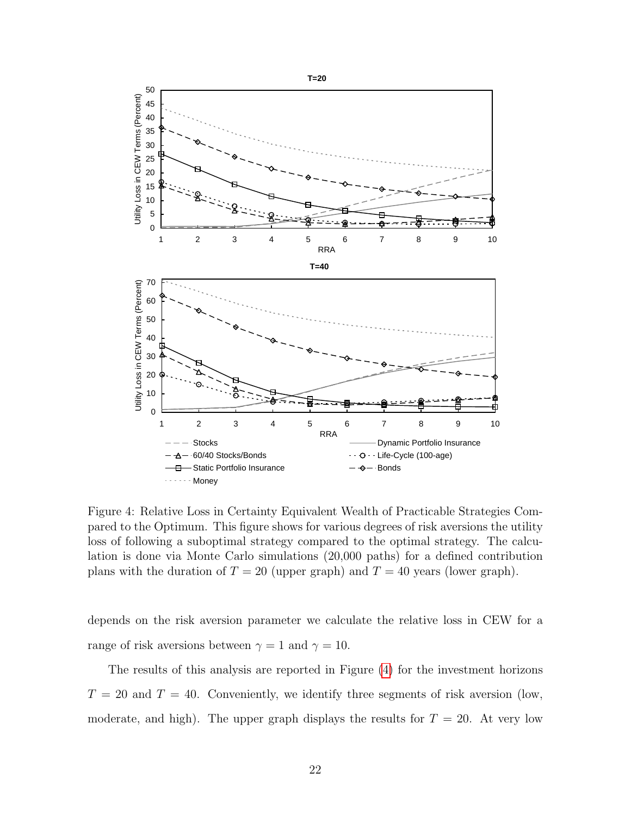

<span id="page-24-0"></span>Figure 4: Relative Loss in Certainty Equivalent Wealth of Practicable Strategies Compared to the Optimum. This figure shows for various degrees of risk aversions the utility loss of following a suboptimal strategy compared to the optimal strategy. The calculation is done via Monte Carlo simulations (20,000 paths) for a defined contribution plans with the duration of  $T = 20$  (upper graph) and  $T = 40$  years (lower graph).

depends on the risk aversion parameter we calculate the relative loss in CEW for a range of risk aversions between  $\gamma = 1$  and  $\gamma = 10$ .

The results of this analysis are reported in Figure [\(4\)](#page-24-0) for the investment horizons  $T = 20$  and  $T = 40$ . Conveniently, we identify three segments of risk aversion (low, moderate, and high). The upper graph displays the results for  $T = 20$ . At very low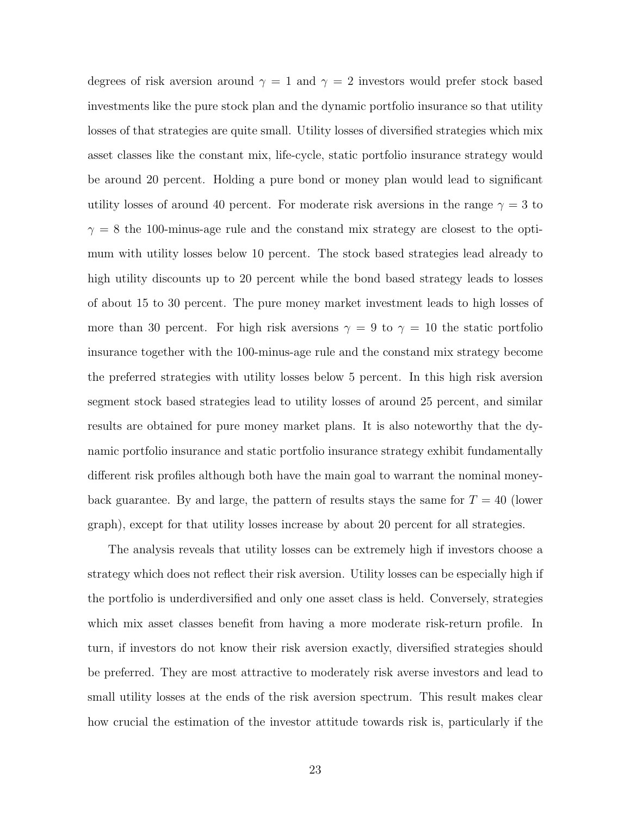degrees of risk aversion around  $\gamma = 1$  and  $\gamma = 2$  investors would prefer stock based investments like the pure stock plan and the dynamic portfolio insurance so that utility losses of that strategies are quite small. Utility losses of diversified strategies which mix asset classes like the constant mix, life-cycle, static portfolio insurance strategy would be around 20 percent. Holding a pure bond or money plan would lead to significant utility losses of around 40 percent. For moderate risk aversions in the range  $\gamma = 3$  to  $\gamma = 8$  the 100-minus-age rule and the constand mix strategy are closest to the optimum with utility losses below 10 percent. The stock based strategies lead already to high utility discounts up to 20 percent while the bond based strategy leads to losses of about 15 to 30 percent. The pure money market investment leads to high losses of more than 30 percent. For high risk aversions  $\gamma = 9$  to  $\gamma = 10$  the static portfolio insurance together with the 100-minus-age rule and the constand mix strategy become the preferred strategies with utility losses below 5 percent. In this high risk aversion segment stock based strategies lead to utility losses of around 25 percent, and similar results are obtained for pure money market plans. It is also noteworthy that the dynamic portfolio insurance and static portfolio insurance strategy exhibit fundamentally different risk profiles although both have the main goal to warrant the nominal moneyback guarantee. By and large, the pattern of results stays the same for  $T = 40$  (lower graph), except for that utility losses increase by about 20 percent for all strategies.

The analysis reveals that utility losses can be extremely high if investors choose a strategy which does not reflect their risk aversion. Utility losses can be especially high if the portfolio is underdiversified and only one asset class is held. Conversely, strategies which mix asset classes benefit from having a more moderate risk-return profile. In turn, if investors do not know their risk aversion exactly, diversified strategies should be preferred. They are most attractive to moderately risk averse investors and lead to small utility losses at the ends of the risk aversion spectrum. This result makes clear how crucial the estimation of the investor attitude towards risk is, particularly if the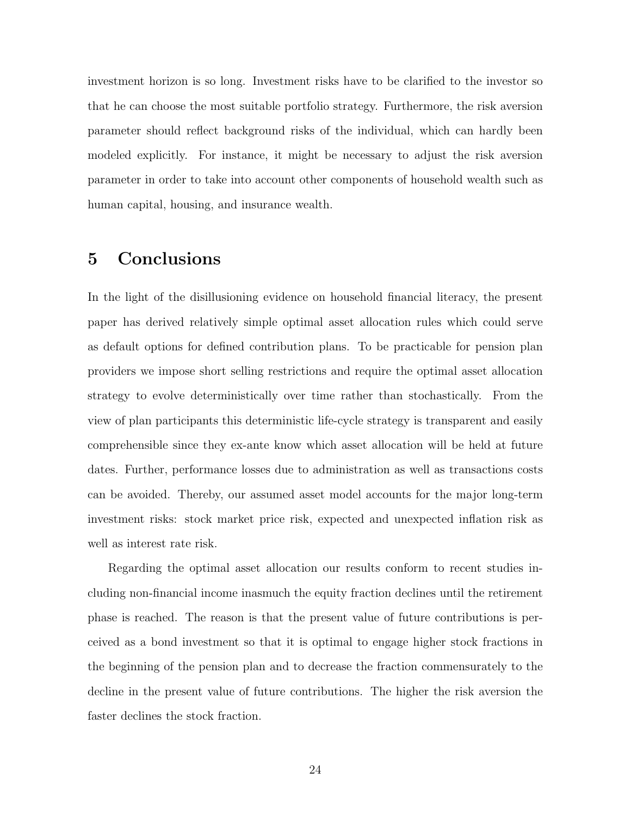investment horizon is so long. Investment risks have to be clarified to the investor so that he can choose the most suitable portfolio strategy. Furthermore, the risk aversion parameter should reflect background risks of the individual, which can hardly been modeled explicitly. For instance, it might be necessary to adjust the risk aversion parameter in order to take into account other components of household wealth such as human capital, housing, and insurance wealth.

# 5 Conclusions

In the light of the disillusioning evidence on household financial literacy, the present paper has derived relatively simple optimal asset allocation rules which could serve as default options for defined contribution plans. To be practicable for pension plan providers we impose short selling restrictions and require the optimal asset allocation strategy to evolve deterministically over time rather than stochastically. From the view of plan participants this deterministic life-cycle strategy is transparent and easily comprehensible since they ex-ante know which asset allocation will be held at future dates. Further, performance losses due to administration as well as transactions costs can be avoided. Thereby, our assumed asset model accounts for the major long-term investment risks: stock market price risk, expected and unexpected inflation risk as well as interest rate risk.

Regarding the optimal asset allocation our results conform to recent studies including non-financial income inasmuch the equity fraction declines until the retirement phase is reached. The reason is that the present value of future contributions is perceived as a bond investment so that it is optimal to engage higher stock fractions in the beginning of the pension plan and to decrease the fraction commensurately to the decline in the present value of future contributions. The higher the risk aversion the faster declines the stock fraction.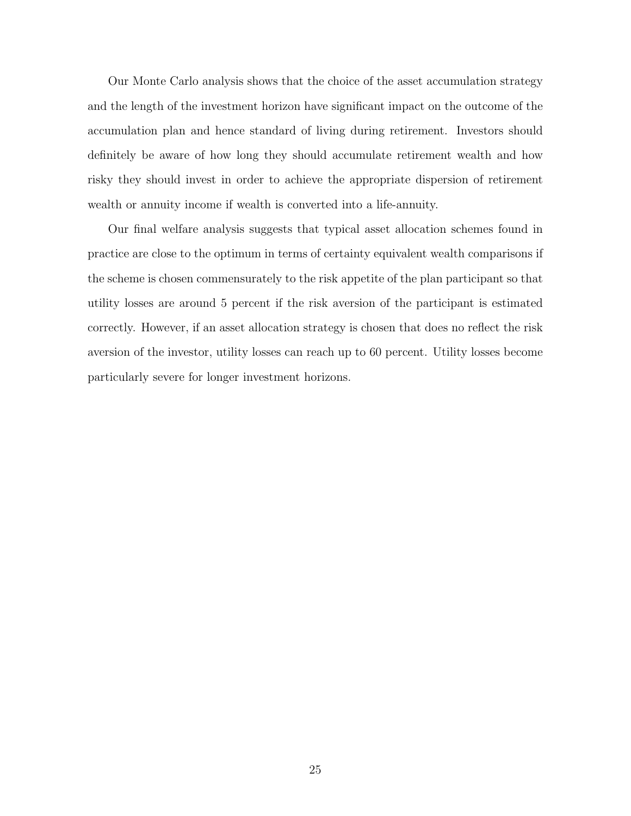Our Monte Carlo analysis shows that the choice of the asset accumulation strategy and the length of the investment horizon have significant impact on the outcome of the accumulation plan and hence standard of living during retirement. Investors should definitely be aware of how long they should accumulate retirement wealth and how risky they should invest in order to achieve the appropriate dispersion of retirement wealth or annuity income if wealth is converted into a life-annuity.

Our final welfare analysis suggests that typical asset allocation schemes found in practice are close to the optimum in terms of certainty equivalent wealth comparisons if the scheme is chosen commensurately to the risk appetite of the plan participant so that utility losses are around 5 percent if the risk aversion of the participant is estimated correctly. However, if an asset allocation strategy is chosen that does no reflect the risk aversion of the investor, utility losses can reach up to 60 percent. Utility losses become particularly severe for longer investment horizons.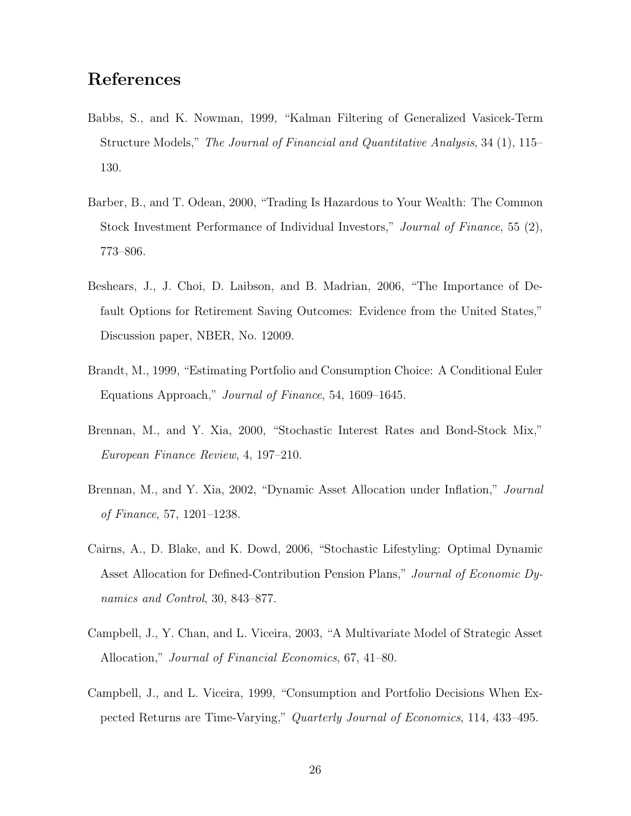# References

- Babbs, S., and K. Nowman, 1999, "Kalman Filtering of Generalized Vasicek-Term Structure Models," The Journal of Financial and Quantitative Analysis, 34 (1), 115– 130.
- Barber, B., and T. Odean, 2000, "Trading Is Hazardous to Your Wealth: The Common Stock Investment Performance of Individual Investors," Journal of Finance, 55 (2), 773–806.
- Beshears, J., J. Choi, D. Laibson, and B. Madrian, 2006, "The Importance of Default Options for Retirement Saving Outcomes: Evidence from the United States," Discussion paper, NBER, No. 12009.
- Brandt, M., 1999, "Estimating Portfolio and Consumption Choice: A Conditional Euler Equations Approach," Journal of Finance, 54, 1609–1645.
- Brennan, M., and Y. Xia, 2000, "Stochastic Interest Rates and Bond-Stock Mix," European Finance Review, 4, 197–210.
- Brennan, M., and Y. Xia, 2002, "Dynamic Asset Allocation under Inflation," Journal of Finance, 57, 1201–1238.
- Cairns, A., D. Blake, and K. Dowd, 2006, "Stochastic Lifestyling: Optimal Dynamic Asset Allocation for Defined-Contribution Pension Plans," Journal of Economic Dynamics and Control, 30, 843–877.
- Campbell, J., Y. Chan, and L. Viceira, 2003, "A Multivariate Model of Strategic Asset Allocation," Journal of Financial Economics, 67, 41–80.
- Campbell, J., and L. Viceira, 1999, "Consumption and Portfolio Decisions When Expected Returns are Time-Varying," Quarterly Journal of Economics, 114, 433–495.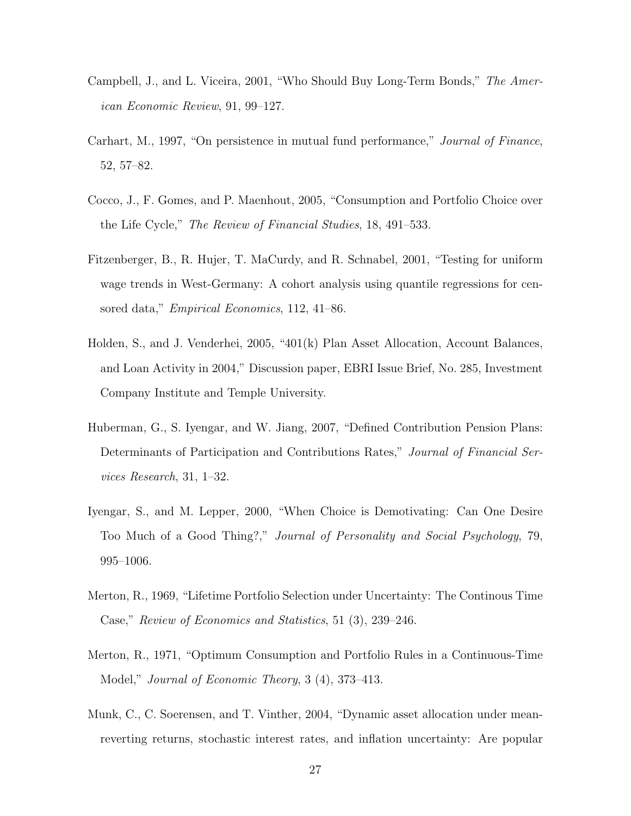- Campbell, J., and L. Viceira, 2001, "Who Should Buy Long-Term Bonds," The American Economic Review, 91, 99–127.
- Carhart, M., 1997, "On persistence in mutual fund performance," Journal of Finance, 52, 57–82.
- Cocco, J., F. Gomes, and P. Maenhout, 2005, "Consumption and Portfolio Choice over the Life Cycle," The Review of Financial Studies, 18, 491–533.
- Fitzenberger, B., R. Hujer, T. MaCurdy, and R. Schnabel, 2001, "Testing for uniform wage trends in West-Germany: A cohort analysis using quantile regressions for censored data," Empirical Economics, 112, 41–86.
- Holden, S., and J. Venderhei, 2005, "401(k) Plan Asset Allocation, Account Balances, and Loan Activity in 2004," Discussion paper, EBRI Issue Brief, No. 285, Investment Company Institute and Temple University.
- Huberman, G., S. Iyengar, and W. Jiang, 2007, "Defined Contribution Pension Plans: Determinants of Participation and Contributions Rates," Journal of Financial Services Research, 31, 1–32.
- Iyengar, S., and M. Lepper, 2000, "When Choice is Demotivating: Can One Desire Too Much of a Good Thing?," Journal of Personality and Social Psychology, 79, 995–1006.
- Merton, R., 1969, "Lifetime Portfolio Selection under Uncertainty: The Continous Time Case," Review of Economics and Statistics, 51 (3), 239–246.
- Merton, R., 1971, "Optimum Consumption and Portfolio Rules in a Continuous-Time Model," Journal of Economic Theory, 3 (4), 373–413.
- Munk, C., C. Soerensen, and T. Vinther, 2004, "Dynamic asset allocation under meanreverting returns, stochastic interest rates, and inflation uncertainty: Are popular